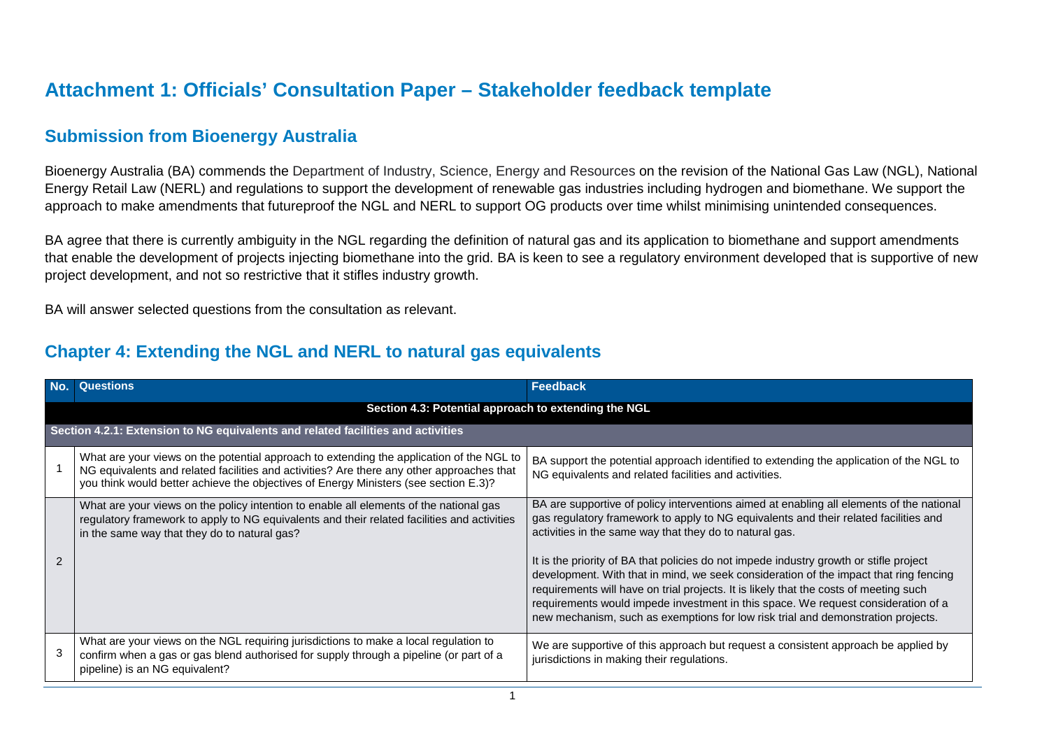## **Attachment 1: Officials' Consultation Paper – Stakeholder feedback template**

## **Submission from Bioenergy Australia**

Bioenergy Australia (BA) commends the Department of Industry, Science, Energy and Resources on the revision of the National Gas Law (NGL), National Energy Retail Law (NERL) and regulations to support the development of renewable gas industries including hydrogen and biomethane. We support the approach to make amendments that futureproof the NGL and NERL to support OG products over time whilst minimising unintended consequences.

BA agree that there is currently ambiguity in the NGL regarding the definition of natural gas and its application to biomethane and support amendments that enable the development of projects injecting biomethane into the grid. BA is keen to see a regulatory environment developed that is supportive of new project development, and not so restrictive that it stifles industry growth.

BA will answer selected questions from the consultation as relevant.

## **Chapter 4: Extending the NGL and NERL to natural gas equivalents**

| No.                                                                              | <b>Questions</b>                                                                                                                                                                                                                                                              | <b>Feedback</b>                                                                                                                                                                                                                                                                                                                                                                                                                                   |  |  |  |
|----------------------------------------------------------------------------------|-------------------------------------------------------------------------------------------------------------------------------------------------------------------------------------------------------------------------------------------------------------------------------|---------------------------------------------------------------------------------------------------------------------------------------------------------------------------------------------------------------------------------------------------------------------------------------------------------------------------------------------------------------------------------------------------------------------------------------------------|--|--|--|
|                                                                                  | Section 4.3: Potential approach to extending the NGL                                                                                                                                                                                                                          |                                                                                                                                                                                                                                                                                                                                                                                                                                                   |  |  |  |
| Section 4.2.1: Extension to NG equivalents and related facilities and activities |                                                                                                                                                                                                                                                                               |                                                                                                                                                                                                                                                                                                                                                                                                                                                   |  |  |  |
|                                                                                  | What are your views on the potential approach to extending the application of the NGL to<br>NG equivalents and related facilities and activities? Are there any other approaches that<br>you think would better achieve the objectives of Energy Ministers (see section E.3)? | BA support the potential approach identified to extending the application of the NGL to<br>NG equivalents and related facilities and activities.                                                                                                                                                                                                                                                                                                  |  |  |  |
|                                                                                  | What are your views on the policy intention to enable all elements of the national gas<br>regulatory framework to apply to NG equivalents and their related facilities and activities<br>in the same way that they do to natural gas?                                         | BA are supportive of policy interventions aimed at enabling all elements of the national<br>gas regulatory framework to apply to NG equivalents and their related facilities and<br>activities in the same way that they do to natural gas.                                                                                                                                                                                                       |  |  |  |
|                                                                                  |                                                                                                                                                                                                                                                                               | It is the priority of BA that policies do not impede industry growth or stifle project<br>development. With that in mind, we seek consideration of the impact that ring fencing<br>requirements will have on trial projects. It is likely that the costs of meeting such<br>requirements would impede investment in this space. We request consideration of a<br>new mechanism, such as exemptions for low risk trial and demonstration projects. |  |  |  |
|                                                                                  | What are your views on the NGL requiring jurisdictions to make a local regulation to<br>confirm when a gas or gas blend authorised for supply through a pipeline (or part of a<br>pipeline) is an NG equivalent?                                                              | We are supportive of this approach but request a consistent approach be applied by<br>jurisdictions in making their regulations.                                                                                                                                                                                                                                                                                                                  |  |  |  |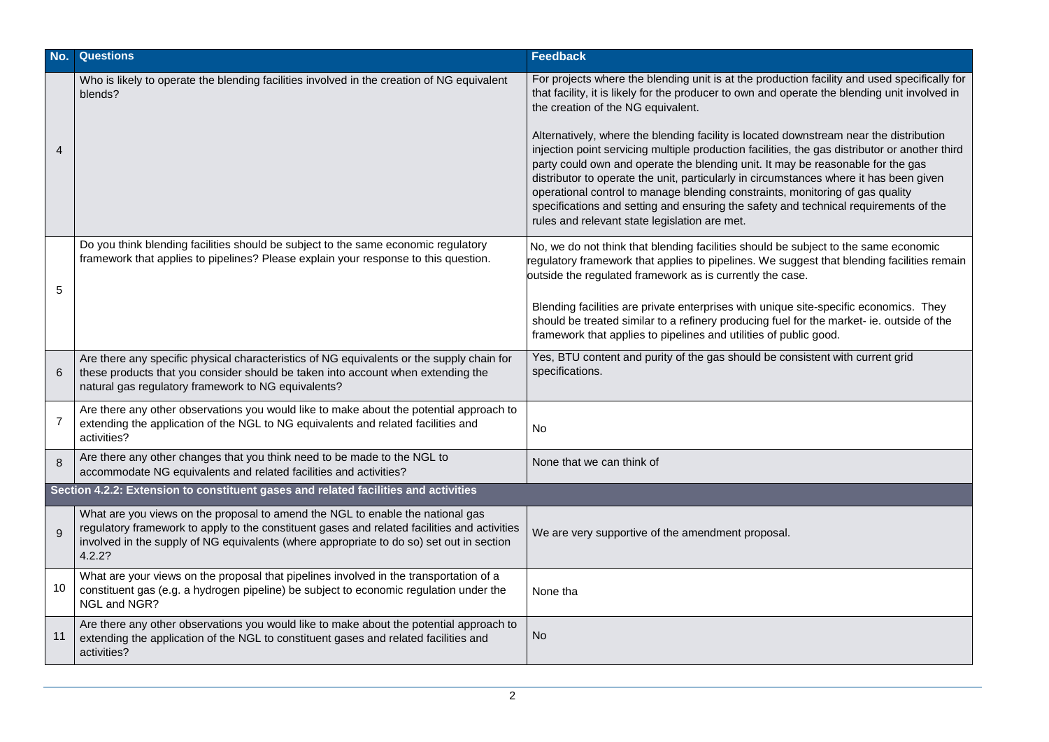| No.                                                                                 | <b>Questions</b>                                                                                                                                                                                                                                                                     | Feedback                                                                                                                                                                                                                                                                                                                                                                                                                                                                                                                                                                                                                                                                                                                                                                                                                               |  |  |
|-------------------------------------------------------------------------------------|--------------------------------------------------------------------------------------------------------------------------------------------------------------------------------------------------------------------------------------------------------------------------------------|----------------------------------------------------------------------------------------------------------------------------------------------------------------------------------------------------------------------------------------------------------------------------------------------------------------------------------------------------------------------------------------------------------------------------------------------------------------------------------------------------------------------------------------------------------------------------------------------------------------------------------------------------------------------------------------------------------------------------------------------------------------------------------------------------------------------------------------|--|--|
| $\overline{4}$                                                                      | Who is likely to operate the blending facilities involved in the creation of NG equivalent<br>blends?                                                                                                                                                                                | For projects where the blending unit is at the production facility and used specifically for<br>that facility, it is likely for the producer to own and operate the blending unit involved in<br>the creation of the NG equivalent.<br>Alternatively, where the blending facility is located downstream near the distribution<br>injection point servicing multiple production facilities, the gas distributor or another third<br>party could own and operate the blending unit. It may be reasonable for the gas<br>distributor to operate the unit, particularly in circumstances where it has been given<br>operational control to manage blending constraints, monitoring of gas quality<br>specifications and setting and ensuring the safety and technical requirements of the<br>rules and relevant state legislation are met. |  |  |
| 5                                                                                   | Do you think blending facilities should be subject to the same economic regulatory<br>framework that applies to pipelines? Please explain your response to this question.                                                                                                            | No, we do not think that blending facilities should be subject to the same economic<br>regulatory framework that applies to pipelines. We suggest that blending facilities remain<br>outside the regulated framework as is currently the case.<br>Blending facilities are private enterprises with unique site-specific economics. They<br>should be treated similar to a refinery producing fuel for the market- ie. outside of the<br>framework that applies to pipelines and utilities of public good.                                                                                                                                                                                                                                                                                                                              |  |  |
| 6                                                                                   | Are there any specific physical characteristics of NG equivalents or the supply chain for<br>these products that you consider should be taken into account when extending the<br>natural gas regulatory framework to NG equivalents?                                                 | Yes, BTU content and purity of the gas should be consistent with current grid<br>specifications.                                                                                                                                                                                                                                                                                                                                                                                                                                                                                                                                                                                                                                                                                                                                       |  |  |
| 7                                                                                   | Are there any other observations you would like to make about the potential approach to<br>extending the application of the NGL to NG equivalents and related facilities and<br>activities?                                                                                          | <b>No</b>                                                                                                                                                                                                                                                                                                                                                                                                                                                                                                                                                                                                                                                                                                                                                                                                                              |  |  |
| 8                                                                                   | Are there any other changes that you think need to be made to the NGL to<br>accommodate NG equivalents and related facilities and activities?                                                                                                                                        | None that we can think of                                                                                                                                                                                                                                                                                                                                                                                                                                                                                                                                                                                                                                                                                                                                                                                                              |  |  |
| Section 4.2.2: Extension to constituent gases and related facilities and activities |                                                                                                                                                                                                                                                                                      |                                                                                                                                                                                                                                                                                                                                                                                                                                                                                                                                                                                                                                                                                                                                                                                                                                        |  |  |
| 9                                                                                   | What are you views on the proposal to amend the NGL to enable the national gas<br>regulatory framework to apply to the constituent gases and related facilities and activities<br>involved in the supply of NG equivalents (where appropriate to do so) set out in section<br>4.2.2? | We are very supportive of the amendment proposal.                                                                                                                                                                                                                                                                                                                                                                                                                                                                                                                                                                                                                                                                                                                                                                                      |  |  |
| 10                                                                                  | What are your views on the proposal that pipelines involved in the transportation of a<br>constituent gas (e.g. a hydrogen pipeline) be subject to economic regulation under the<br>NGL and NGR?                                                                                     | None tha                                                                                                                                                                                                                                                                                                                                                                                                                                                                                                                                                                                                                                                                                                                                                                                                                               |  |  |
| 11                                                                                  | Are there any other observations you would like to make about the potential approach to<br>extending the application of the NGL to constituent gases and related facilities and<br>activities?                                                                                       | No                                                                                                                                                                                                                                                                                                                                                                                                                                                                                                                                                                                                                                                                                                                                                                                                                                     |  |  |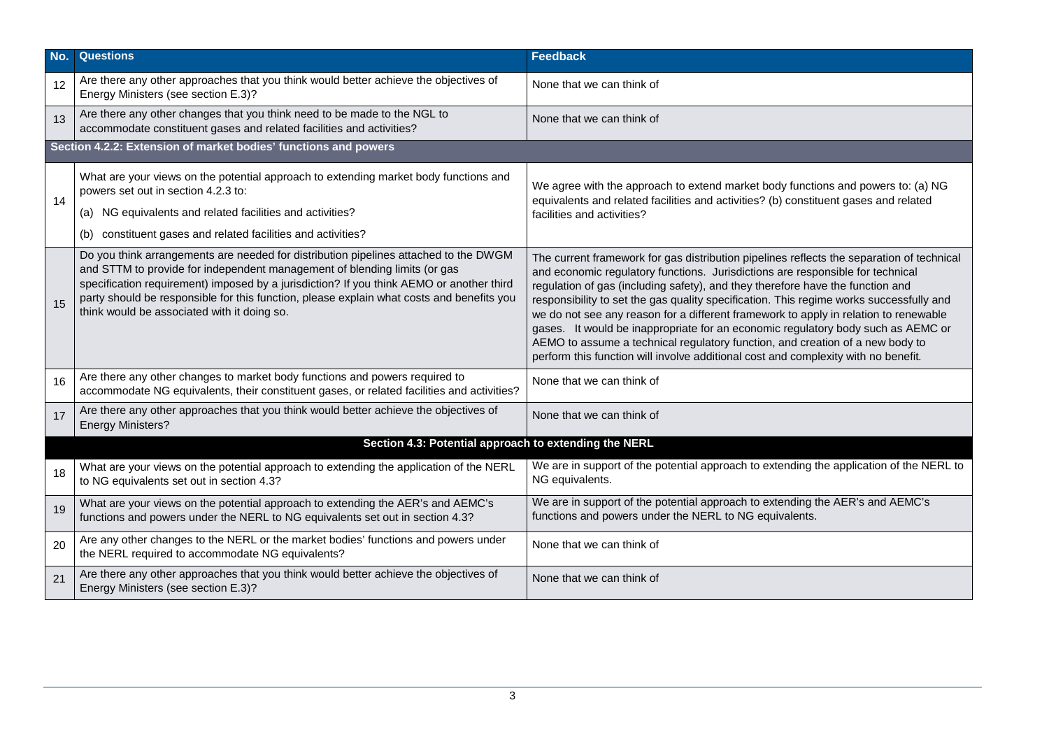| No. | <b>Questions</b>                                                                                                                                                                                                                                                                                                                                                                                          | <b>Feedback</b>                                                                                                                                                                                                                                                                                                                                                                                                                                                                                                                                                                                                                                                                                             |  |  |  |  |
|-----|-----------------------------------------------------------------------------------------------------------------------------------------------------------------------------------------------------------------------------------------------------------------------------------------------------------------------------------------------------------------------------------------------------------|-------------------------------------------------------------------------------------------------------------------------------------------------------------------------------------------------------------------------------------------------------------------------------------------------------------------------------------------------------------------------------------------------------------------------------------------------------------------------------------------------------------------------------------------------------------------------------------------------------------------------------------------------------------------------------------------------------------|--|--|--|--|
| 12  | Are there any other approaches that you think would better achieve the objectives of<br>Energy Ministers (see section E.3)?                                                                                                                                                                                                                                                                               | None that we can think of                                                                                                                                                                                                                                                                                                                                                                                                                                                                                                                                                                                                                                                                                   |  |  |  |  |
| 13  | Are there any other changes that you think need to be made to the NGL to<br>accommodate constituent gases and related facilities and activities?                                                                                                                                                                                                                                                          | None that we can think of                                                                                                                                                                                                                                                                                                                                                                                                                                                                                                                                                                                                                                                                                   |  |  |  |  |
|     | Section 4.2.2: Extension of market bodies' functions and powers                                                                                                                                                                                                                                                                                                                                           |                                                                                                                                                                                                                                                                                                                                                                                                                                                                                                                                                                                                                                                                                                             |  |  |  |  |
| 14  | What are your views on the potential approach to extending market body functions and<br>powers set out in section 4.2.3 to:<br>NG equivalents and related facilities and activities?<br>(a)                                                                                                                                                                                                               | We agree with the approach to extend market body functions and powers to: (a) NG<br>equivalents and related facilities and activities? (b) constituent gases and related<br>facilities and activities?                                                                                                                                                                                                                                                                                                                                                                                                                                                                                                      |  |  |  |  |
|     | constituent gases and related facilities and activities?<br>(b)                                                                                                                                                                                                                                                                                                                                           |                                                                                                                                                                                                                                                                                                                                                                                                                                                                                                                                                                                                                                                                                                             |  |  |  |  |
| 15  | Do you think arrangements are needed for distribution pipelines attached to the DWGM<br>and STTM to provide for independent management of blending limits (or gas<br>specification requirement) imposed by a jurisdiction? If you think AEMO or another third<br>party should be responsible for this function, please explain what costs and benefits you<br>think would be associated with it doing so. | The current framework for gas distribution pipelines reflects the separation of technical<br>and economic regulatory functions. Jurisdictions are responsible for technical<br>regulation of gas (including safety), and they therefore have the function and<br>responsibility to set the gas quality specification. This regime works successfully and<br>we do not see any reason for a different framework to apply in relation to renewable<br>gases. It would be inappropriate for an economic regulatory body such as AEMC or<br>AEMO to assume a technical regulatory function, and creation of a new body to<br>perform this function will involve additional cost and complexity with no benefit. |  |  |  |  |
| 16  | Are there any other changes to market body functions and powers required to<br>accommodate NG equivalents, their constituent gases, or related facilities and activities?                                                                                                                                                                                                                                 | None that we can think of                                                                                                                                                                                                                                                                                                                                                                                                                                                                                                                                                                                                                                                                                   |  |  |  |  |
| 17  | Are there any other approaches that you think would better achieve the objectives of<br><b>Energy Ministers?</b>                                                                                                                                                                                                                                                                                          | None that we can think of                                                                                                                                                                                                                                                                                                                                                                                                                                                                                                                                                                                                                                                                                   |  |  |  |  |
|     | Section 4.3: Potential approach to extending the NERL                                                                                                                                                                                                                                                                                                                                                     |                                                                                                                                                                                                                                                                                                                                                                                                                                                                                                                                                                                                                                                                                                             |  |  |  |  |
| 18  | What are your views on the potential approach to extending the application of the NERL<br>to NG equivalents set out in section 4.3?                                                                                                                                                                                                                                                                       | We are in support of the potential approach to extending the application of the NERL to<br>NG equivalents.                                                                                                                                                                                                                                                                                                                                                                                                                                                                                                                                                                                                  |  |  |  |  |
| 19  | What are your views on the potential approach to extending the AER's and AEMC's<br>functions and powers under the NERL to NG equivalents set out in section 4.3?                                                                                                                                                                                                                                          | We are in support of the potential approach to extending the AER's and AEMC's<br>functions and powers under the NERL to NG equivalents.                                                                                                                                                                                                                                                                                                                                                                                                                                                                                                                                                                     |  |  |  |  |
| 20  | Are any other changes to the NERL or the market bodies' functions and powers under<br>the NERL required to accommodate NG equivalents?                                                                                                                                                                                                                                                                    | None that we can think of                                                                                                                                                                                                                                                                                                                                                                                                                                                                                                                                                                                                                                                                                   |  |  |  |  |
| 21  | Are there any other approaches that you think would better achieve the objectives of<br>Energy Ministers (see section E.3)?                                                                                                                                                                                                                                                                               | None that we can think of                                                                                                                                                                                                                                                                                                                                                                                                                                                                                                                                                                                                                                                                                   |  |  |  |  |